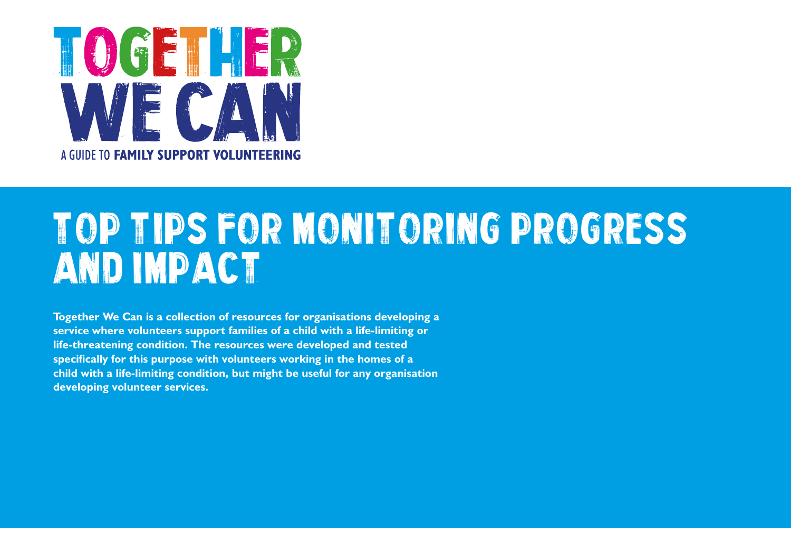

# Top Tips FOR MONITORING PROGRESS AND IMPACT

**Together We Can is a collection of resources for organisations developing a service where volunteers support families of a child with a life-limiting or life-threatening condition. The resources were developed and tested specifically for this purpose with volunteers working in the homes of a child with a life-limiting condition, but might be useful for any organisation developing volunteer services.**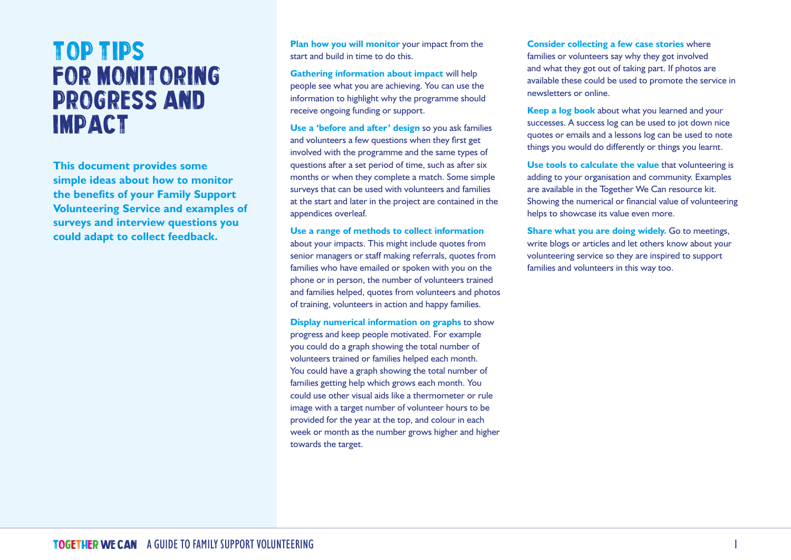# Top Tips FOR MONITORING PROGRESS AND IMPACT

**This document provides some simple ideas about how to monitor the benefits of your Family Support Volunteering Service and examples of surveys and interview questions you could adapt to collect feedback.**

**Plan how you will monitor** your impact from the start and build in time to do this.

**Gathering information about impact** will help people see what you are achieving. You can use the information to highlight why the programme should receive ongoing funding or support.

**Use a 'before and after' design** so you ask families and volunteers a few questions when they first get involved with the programme and the same types of questions after a set period of time, such as after six months or when they complete a match. Some simple surveys that can be used with volunteers and families at the start and later in the project are contained in the appendices overleaf.

#### **Use a range of methods to collect information**

about your impacts. This might include quotes from senior managers or staff making referrals, quotes from families who have emailed or spoken with you on the phone or in person, the number of volunteers trained and families helped, quotes from volunteers and photos of training, volunteers in action and happy families.

**Display numerical information on graphs** to show progress and keep people motivated. For example you could do a graph showing the total number of volunteers trained or families helped each month. You could have a graph showing the total number of families getting help which grows each month. You could use other visual aids like a thermometer or rule image with a target number of volunteer hours to be provided for the year at the top, and colour in each week or month as the number grows higher and higher towards the target.

**Consider collecting a few case stories** where families or volunteers say why they got involved and what they got out of taking part. If photos are available these could be used to promote the service in newsletters or online.

**Keep a log book** about what you learned and your successes. A success log can be used to jot down nice quotes or emails and a lessons log can be used to note things you would do differently or things you learnt.

**Use tools to calculate the value** that volunteering is adding to your organisation and community. Examples are available in the Together We Can resource kit. Showing the numerical or financial value of volunteering helps to showcase its value even more.

**Share what you are doing widely.** Go to meetings, write blogs or articles and let others know about your volunteering service so they are inspired to support families and volunteers in this way too.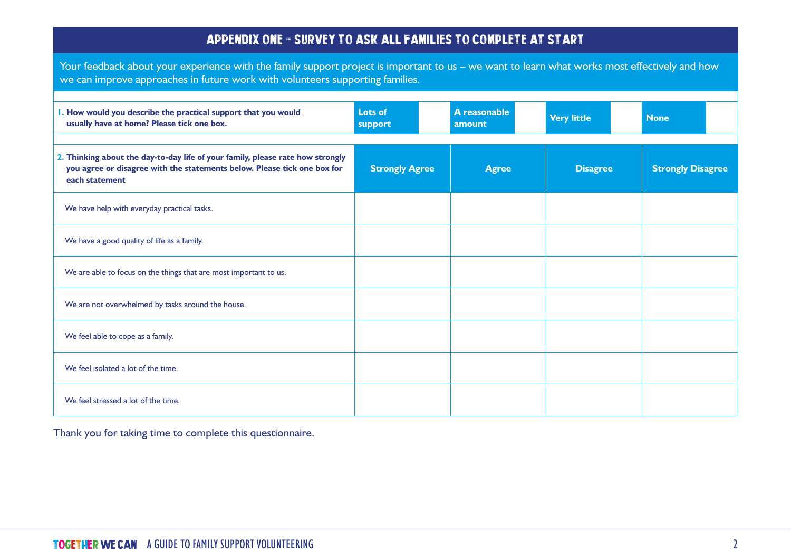#### Appendix one - Survey to ask all families to complete at start

Your feedback about your experience with the family support project is important to us – we want to learn what works most effectively and how we can improve approaches in future work with volunteers supporting families.

| . How would you describe the practical support that you would<br>usually have at home? Please tick one box.                                                                  | Lots of<br>support    | A reasonable<br>amount | <b>Very little</b> | <b>None</b>              |
|------------------------------------------------------------------------------------------------------------------------------------------------------------------------------|-----------------------|------------------------|--------------------|--------------------------|
| 2. Thinking about the day-to-day life of your family, please rate how strongly<br>you agree or disagree with the statements below. Please tick one box for<br>each statement | <b>Strongly Agree</b> | <b>Agree</b>           | <b>Disagree</b>    | <b>Strongly Disagree</b> |
| We have help with everyday practical tasks.                                                                                                                                  |                       |                        |                    |                          |
| We have a good quality of life as a family.                                                                                                                                  |                       |                        |                    |                          |
| We are able to focus on the things that are most important to us.                                                                                                            |                       |                        |                    |                          |
| We are not overwhelmed by tasks around the house.                                                                                                                            |                       |                        |                    |                          |
| We feel able to cope as a family.                                                                                                                                            |                       |                        |                    |                          |
| We feel isolated a lot of the time.                                                                                                                                          |                       |                        |                    |                          |
| We feel stressed a lot of the time.                                                                                                                                          |                       |                        |                    |                          |

Thank you for taking time to complete this questionnaire.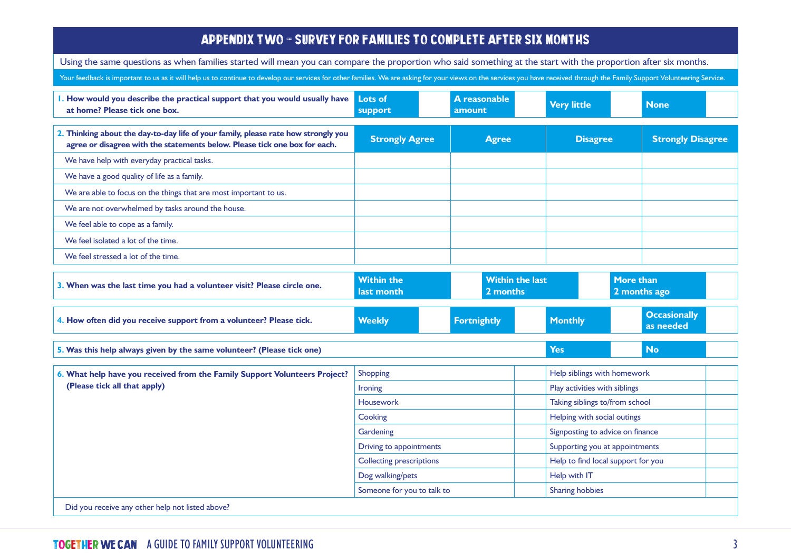#### APPENDIX TWO - SURVEY FOR FAMILIES TO COMPLETE AFTER SIX MONTHS

Using the same questions as when families started will mean you can compare the proportion who said something at the start with the proportion after six months.

Your feedback is important to us as it will help us to continue to develop our services for other families. We are asking for your views on the services you have received through the Family Support Volunteering Service.

| I. How would you describe the practical support that you would usually have<br>at home? Please tick one box.                                                     | <b>Lots of</b><br>support | A reasonable<br>amount | <b>Very little</b> | <b>None</b>              |
|------------------------------------------------------------------------------------------------------------------------------------------------------------------|---------------------------|------------------------|--------------------|--------------------------|
| 2. Thinking about the day-to-day life of your family, please rate how strongly you<br>agree or disagree with the statements below. Please tick one box for each. | <b>Strongly Agree</b>     | <b>Agree</b>           | <b>Disagree</b>    | <b>Strongly Disagree</b> |
| We have help with everyday practical tasks.                                                                                                                      |                           |                        |                    |                          |
| We have a good quality of life as a family.                                                                                                                      |                           |                        |                    |                          |
| We are able to focus on the things that are most important to us.                                                                                                |                           |                        |                    |                          |
| We are not overwhelmed by tasks around the house.                                                                                                                |                           |                        |                    |                          |
| We feel able to cope as a family.                                                                                                                                |                           |                        |                    |                          |
| We feel isolated a lot of the time.                                                                                                                              |                           |                        |                    |                          |
| We feel stressed a lot of the time.                                                                                                                              |                           |                        |                    |                          |

| 3. When was the last time you had a volunteer visit? Please circle one.                                    | <b>Within the</b><br>last month | <b>Within the last</b><br>2 months |                                    | <b>More than</b><br>2 months ago |  |
|------------------------------------------------------------------------------------------------------------|---------------------------------|------------------------------------|------------------------------------|----------------------------------|--|
| 4. How often did you receive support from a volunteer? Please tick.                                        | <b>Weekly</b>                   | <b>Fortnightly</b>                 | <b>Monthly</b>                     | <b>Occasionally</b><br>as needed |  |
| 5. Was this help always given by the same volunteer? (Please tick one)                                     |                                 |                                    | <b>Yes</b>                         | <b>No</b>                        |  |
| 6. What help have you received from the Family Support Volunteers Project?<br>(Please tick all that apply) | Shopping                        |                                    | Help siblings with homework        |                                  |  |
|                                                                                                            | <b>Ironing</b>                  |                                    | Play activities with siblings      |                                  |  |
|                                                                                                            | <b>Housework</b>                |                                    | Taking siblings to/from school     |                                  |  |
|                                                                                                            | Cooking                         |                                    | Helping with social outings        |                                  |  |
|                                                                                                            | Gardening                       |                                    | Signposting to advice on finance   |                                  |  |
|                                                                                                            | Driving to appointments         |                                    | Supporting you at appointments     |                                  |  |
|                                                                                                            | <b>Collecting prescriptions</b> |                                    | Help to find local support for you |                                  |  |
|                                                                                                            | Dog walking/pets                |                                    | Help with IT                       |                                  |  |
|                                                                                                            | Someone for you to talk to      |                                    | <b>Sharing hobbies</b>             |                                  |  |
| Did you receive any other help not listed above?                                                           |                                 |                                    |                                    |                                  |  |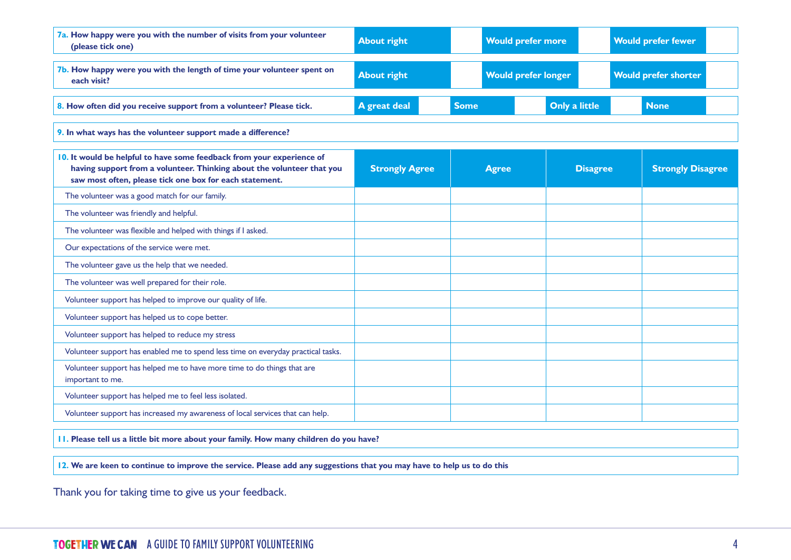| 7a. How happy were you with the number of visits from your volunteer<br>(please tick one)                                                                                                                  | <b>About right</b>    |             | <b>Would prefer more</b>   |                      | <b>Would prefer fewer</b>   |                          |  |
|------------------------------------------------------------------------------------------------------------------------------------------------------------------------------------------------------------|-----------------------|-------------|----------------------------|----------------------|-----------------------------|--------------------------|--|
| 7b. How happy were you with the length of time your volunteer spent on<br>each visit?                                                                                                                      | <b>About right</b>    |             | <b>Would prefer longer</b> |                      | <b>Would prefer shorter</b> |                          |  |
| 8. How often did you receive support from a volunteer? Please tick.                                                                                                                                        | A great deal          | <b>Some</b> |                            | <b>Only a little</b> |                             | <b>None</b>              |  |
| 9. In what ways has the volunteer support made a difference?                                                                                                                                               |                       |             |                            |                      |                             |                          |  |
| 10. It would be helpful to have some feedback from your experience of<br>having support from a volunteer. Thinking about the volunteer that you<br>saw most often, please tick one box for each statement. | <b>Strongly Agree</b> |             | <b>Agree</b>               |                      | <b>Disagree</b>             | <b>Strongly Disagree</b> |  |
| The volunteer was a good match for our family.                                                                                                                                                             |                       |             |                            |                      |                             |                          |  |
| The volunteer was friendly and helpful.                                                                                                                                                                    |                       |             |                            |                      |                             |                          |  |
| The volunteer was flexible and helped with things if I asked.                                                                                                                                              |                       |             |                            |                      |                             |                          |  |
| Our expectations of the service were met.                                                                                                                                                                  |                       |             |                            |                      |                             |                          |  |
| The volunteer gave us the help that we needed.                                                                                                                                                             |                       |             |                            |                      |                             |                          |  |
| The volunteer was well prepared for their role.                                                                                                                                                            |                       |             |                            |                      |                             |                          |  |
| Volunteer support has helped to improve our quality of life.                                                                                                                                               |                       |             |                            |                      |                             |                          |  |
| Volunteer support has helped us to cope better.                                                                                                                                                            |                       |             |                            |                      |                             |                          |  |
| Volunteer support has helped to reduce my stress                                                                                                                                                           |                       |             |                            |                      |                             |                          |  |
| Volunteer support has enabled me to spend less time on everyday practical tasks.                                                                                                                           |                       |             |                            |                      |                             |                          |  |
| Volunteer support has helped me to have more time to do things that are<br>important to me.                                                                                                                |                       |             |                            |                      |                             |                          |  |
| Volunteer support has helped me to feel less isolated.                                                                                                                                                     |                       |             |                            |                      |                             |                          |  |
| Volunteer support has increased my awareness of local services that can help.                                                                                                                              |                       |             |                            |                      |                             |                          |  |

**11. Please tell us a little bit more about your family. How many children do you have?** 

**12. We are keen to continue to improve the service. Please add any suggestions that you may have to help us to do this**

Thank you for taking time to give us your feedback.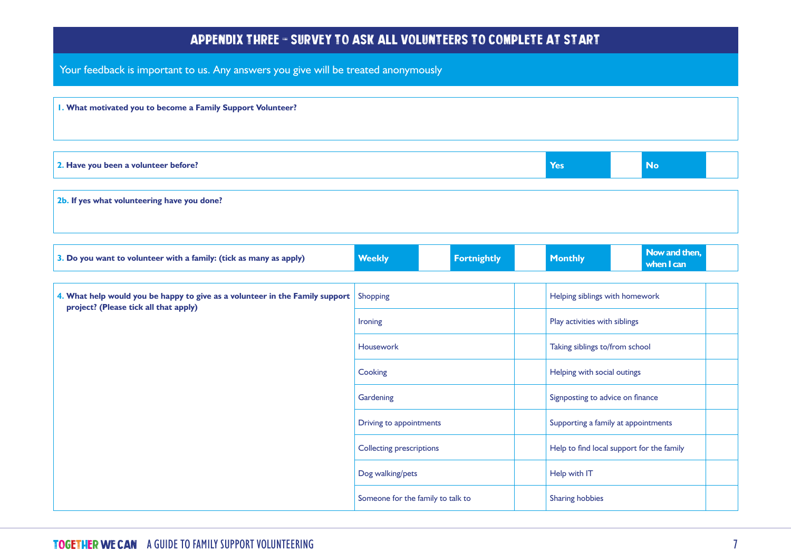#### Appendix three - Survey to ask all volunteers to complete at start

Your feedback is important to us. Any answers you give will be treated anonymously

| I. What motivated you to become a Family Support Volunteer? |     |           |  |
|-------------------------------------------------------------|-----|-----------|--|
|                                                             |     |           |  |
| 2. Have you been a volunteer before?                        | Yes | <b>No</b> |  |
| 2b. If yes what volunteering have you done?                 |     |           |  |

| 3. Do you want to volunteer with a family: (tick as many as apply)                                                    | <b>Weekly</b>                     | <b>Fortnightly</b> | <b>Monthly</b>                            | Now and then,<br>when I can |  |
|-----------------------------------------------------------------------------------------------------------------------|-----------------------------------|--------------------|-------------------------------------------|-----------------------------|--|
|                                                                                                                       |                                   |                    |                                           |                             |  |
| 4. What help would you be happy to give as a volunteer in the Family support<br>project? (Please tick all that apply) | Shopping                          |                    | Helping siblings with homework            |                             |  |
|                                                                                                                       | <b>Ironing</b>                    |                    | Play activities with siblings             |                             |  |
|                                                                                                                       | <b>Housework</b>                  |                    | Taking siblings to/from school            |                             |  |
|                                                                                                                       | Cooking                           |                    | Helping with social outings               |                             |  |
|                                                                                                                       | Gardening                         |                    | Signposting to advice on finance          |                             |  |
|                                                                                                                       | Driving to appointments           |                    | Supporting a family at appointments       |                             |  |
|                                                                                                                       | <b>Collecting prescriptions</b>   |                    | Help to find local support for the family |                             |  |
|                                                                                                                       | Dog walking/pets                  |                    | Help with IT                              |                             |  |
|                                                                                                                       | Someone for the family to talk to |                    | <b>Sharing hobbies</b>                    |                             |  |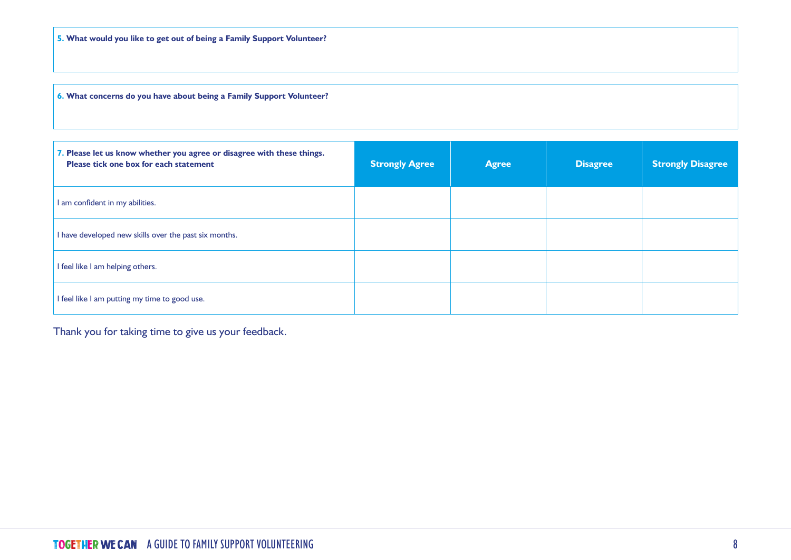**6. What concerns do you have about being a Family Support Volunteer?**

| 7. Please let us know whether you agree or disagree with these things.<br>Please tick one box for each statement | <b>Strongly Agree</b> | <b>Agree</b> | <b>Disagree</b> | <b>Strongly Disagree</b> |
|------------------------------------------------------------------------------------------------------------------|-----------------------|--------------|-----------------|--------------------------|
| I am confident in my abilities.                                                                                  |                       |              |                 |                          |
| I have developed new skills over the past six months.                                                            |                       |              |                 |                          |
| I feel like I am helping others.                                                                                 |                       |              |                 |                          |
| I feel like I am putting my time to good use.                                                                    |                       |              |                 |                          |

Thank you for taking time to give us your feedback.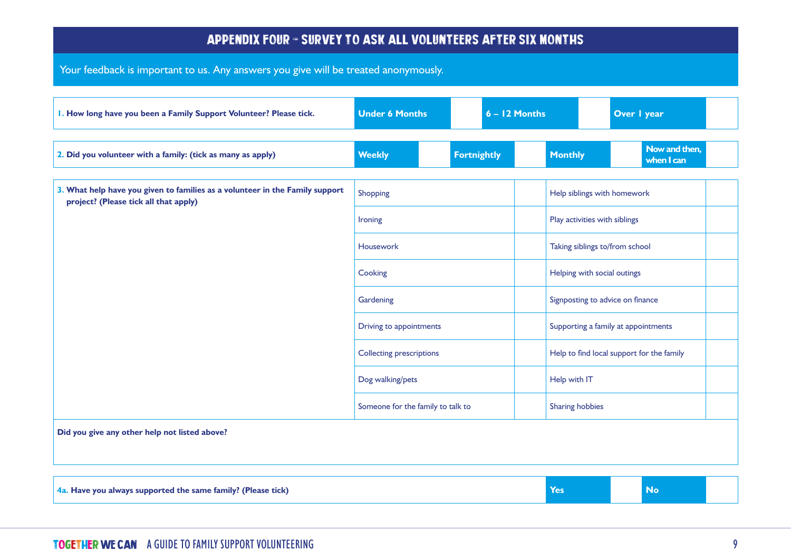#### Appendix four - Survey to ask all volunteers after six months

Your feedback is important to us. Any answers you give will be treated anonymously.

| I. How long have you been a Family Support Volunteer? Please tick.                                                    | <b>Under 6 Months</b>             | $6 - 12$ Months    |                                  | Over I year                               |  |
|-----------------------------------------------------------------------------------------------------------------------|-----------------------------------|--------------------|----------------------------------|-------------------------------------------|--|
| 2. Did you volunteer with a family: (tick as many as apply)                                                           | <b>Weekly</b>                     | <b>Fortnightly</b> | <b>Monthly</b>                   | Now and then,<br>when I can               |  |
| 3. What help have you given to families as a volunteer in the Family support<br>project? (Please tick all that apply) | Shopping                          |                    | Help siblings with homework      |                                           |  |
|                                                                                                                       | Ironing                           |                    | Play activities with siblings    |                                           |  |
|                                                                                                                       | Housework                         |                    | Taking siblings to/from school   |                                           |  |
|                                                                                                                       | Cooking                           |                    | Helping with social outings      |                                           |  |
|                                                                                                                       | Gardening                         |                    | Signposting to advice on finance |                                           |  |
|                                                                                                                       | <b>Driving to appointments</b>    |                    |                                  | Supporting a family at appointments       |  |
|                                                                                                                       | <b>Collecting prescriptions</b>   |                    |                                  | Help to find local support for the family |  |
|                                                                                                                       | Dog walking/pets                  |                    | Help with IT                     |                                           |  |
|                                                                                                                       | Someone for the family to talk to |                    | Sharing hobbies                  |                                           |  |
| Did you give any other help not listed above?                                                                         |                                   |                    |                                  |                                           |  |
|                                                                                                                       |                                   |                    |                                  |                                           |  |
|                                                                                                                       |                                   |                    |                                  |                                           |  |

**4a.** Have you always supported the same family? (Please tick) **We are also assumed to the Second Second Second Second Second Second Second Second Second Second Second Second Second Second Second Second Second Second Secon**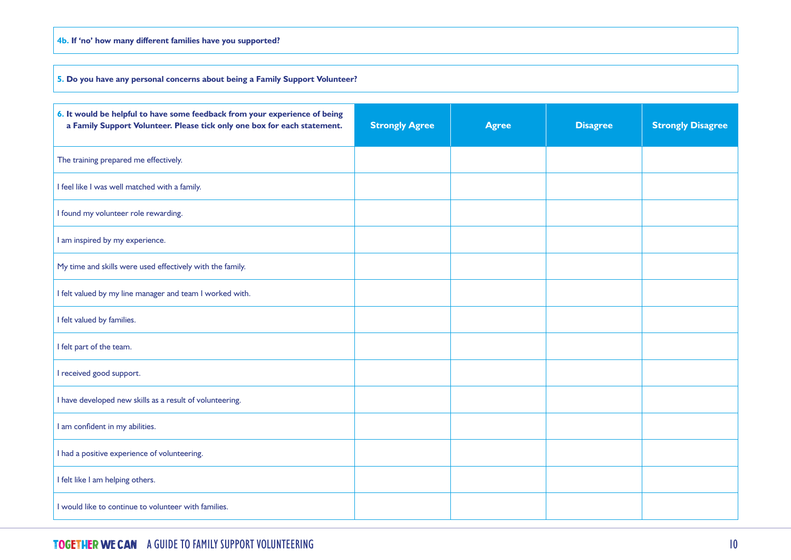#### **4b. If 'no' how many different families have you supported?**

**5. Do you have any personal concerns about being a Family Support Volunteer?**

| 6. It would be helpful to have some feedback from your experience of being<br>a Family Support Volunteer. Please tick only one box for each statement. | <b>Strongly Agree</b> | <b>Agree</b> | <b>Disagree</b> | <b>Strongly Disagree</b> |
|--------------------------------------------------------------------------------------------------------------------------------------------------------|-----------------------|--------------|-----------------|--------------------------|
| The training prepared me effectively.                                                                                                                  |                       |              |                 |                          |
| I feel like I was well matched with a family.                                                                                                          |                       |              |                 |                          |
| I found my volunteer role rewarding.                                                                                                                   |                       |              |                 |                          |
| I am inspired by my experience.                                                                                                                        |                       |              |                 |                          |
| My time and skills were used effectively with the family.                                                                                              |                       |              |                 |                          |
| I felt valued by my line manager and team I worked with.                                                                                               |                       |              |                 |                          |
| I felt valued by families.                                                                                                                             |                       |              |                 |                          |
| I felt part of the team.                                                                                                                               |                       |              |                 |                          |
| I received good support.                                                                                                                               |                       |              |                 |                          |
| I have developed new skills as a result of volunteering.                                                                                               |                       |              |                 |                          |
| I am confident in my abilities.                                                                                                                        |                       |              |                 |                          |
| I had a positive experience of volunteering.                                                                                                           |                       |              |                 |                          |
| I felt like I am helping others.                                                                                                                       |                       |              |                 |                          |
| I would like to continue to volunteer with families.                                                                                                   |                       |              |                 |                          |

#### Together We Can A GUIDE TO FAMILY SUPPORT VOLUNTEERING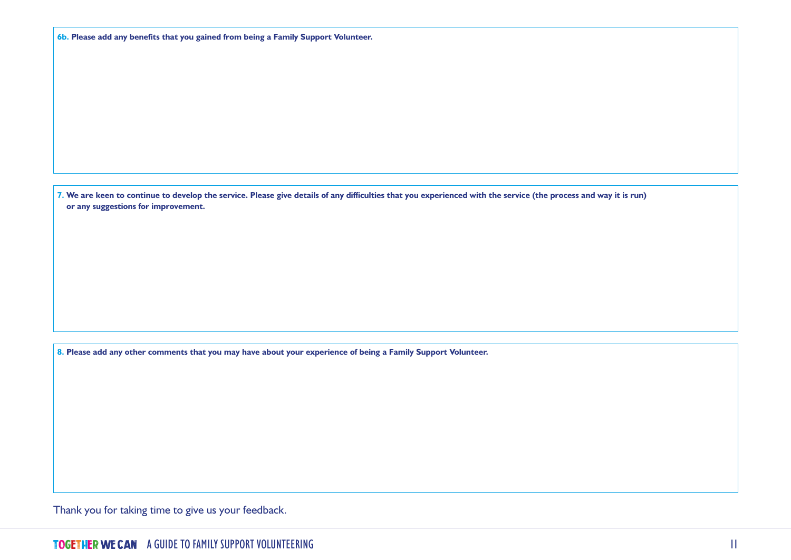|  | 6b. Please add any benefits that you gained from being a Family Support Volunteer. |  |  |  |  |  |  |  |  |  |  |
|--|------------------------------------------------------------------------------------|--|--|--|--|--|--|--|--|--|--|
|--|------------------------------------------------------------------------------------|--|--|--|--|--|--|--|--|--|--|

**7. We are keen to continue to develop the service. Please give details of any difficulties that you experienced with the service (the process and way it is run) or any suggestions for improvement.**

**8. Please add any other comments that you may have about your experience of being a Family Support Volunteer.**

Thank you for taking time to give us your feedback.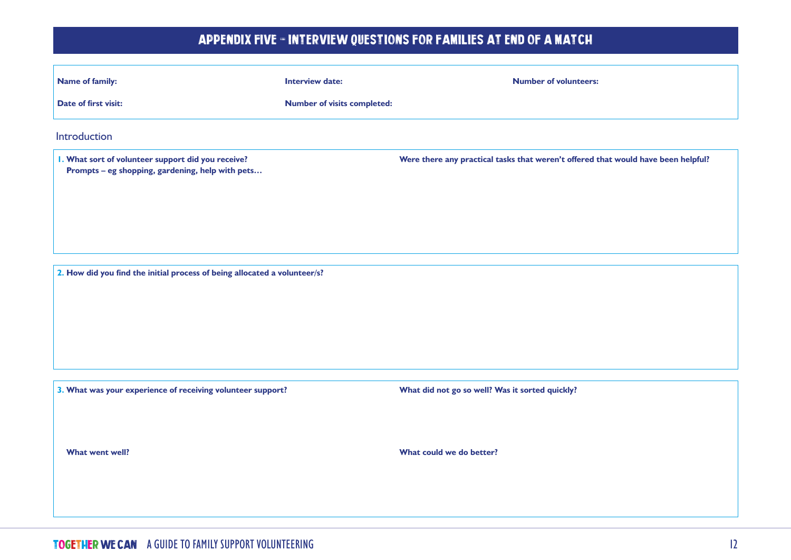## APPENDIX FIVE - INTERVIEW QUESTIONS FOR FAMILIES AT END OF A MATCH

| <b>Name of family:</b>                                                                                 | <b>Interview date:</b>             | <b>Number of volunteers:</b>                                                      |
|--------------------------------------------------------------------------------------------------------|------------------------------------|-----------------------------------------------------------------------------------|
| Date of first visit:                                                                                   | <b>Number of visits completed:</b> |                                                                                   |
| Introduction                                                                                           |                                    |                                                                                   |
| I. What sort of volunteer support did you receive?<br>Prompts - eg shopping, gardening, help with pets |                                    | Were there any practical tasks that weren't offered that would have been helpful? |
| 2. How did you find the initial process of being allocated a volunteer/s?                              |                                    |                                                                                   |
| 3. What was your experience of receiving volunteer support?                                            |                                    | What did not go so well? Was it sorted quickly?                                   |
| What went well?                                                                                        |                                    | What could we do better?                                                          |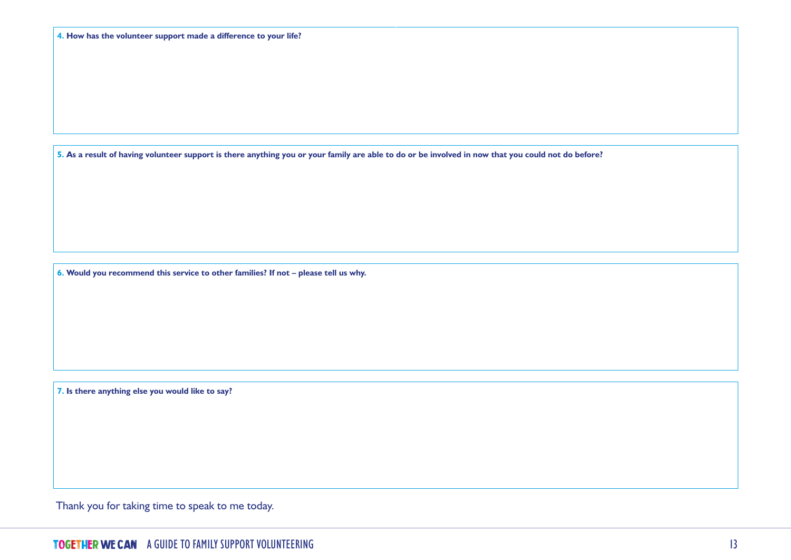**5. As a result of having volunteer support is there anything you or your family are able to do or be involved in now that you could not do before?** 

**6. Would you recommend this service to other families? If not – please tell us why.**

**7. Is there anything else you would like to say?** 

Thank you for taking time to speak to me today.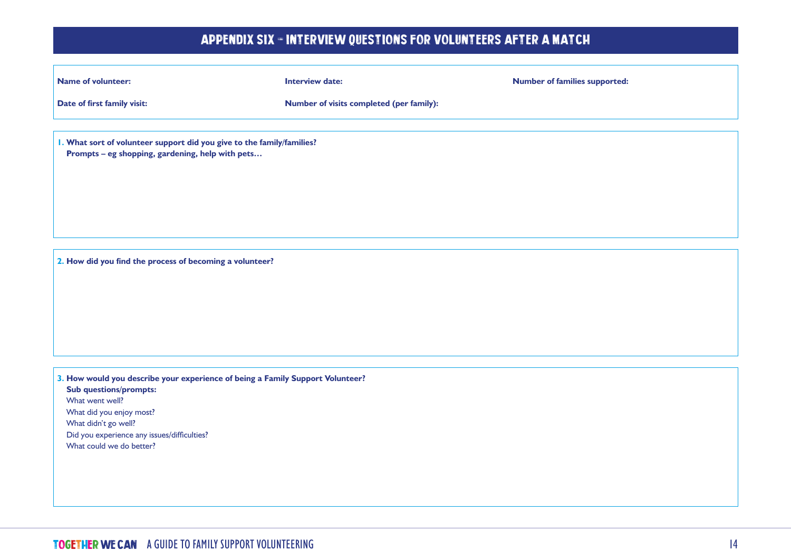## Appendix six - Interview questions for volunteers after a match

| <b>Name of volunteer:</b>                                                                                                  | <b>Interview date:</b>                   | <b>Number of families supported:</b> |
|----------------------------------------------------------------------------------------------------------------------------|------------------------------------------|--------------------------------------|
| Date of first family visit:                                                                                                | Number of visits completed (per family): |                                      |
|                                                                                                                            |                                          |                                      |
| I. What sort of volunteer support did you give to the family/families?<br>Prompts - eg shopping, gardening, help with pets |                                          |                                      |
|                                                                                                                            |                                          |                                      |
|                                                                                                                            |                                          |                                      |
|                                                                                                                            |                                          |                                      |
|                                                                                                                            |                                          |                                      |
| 2. How did you find the process of becoming a volunteer?                                                                   |                                          |                                      |
|                                                                                                                            |                                          |                                      |
|                                                                                                                            |                                          |                                      |
|                                                                                                                            |                                          |                                      |
|                                                                                                                            |                                          |                                      |
| 3. How would you describe your experience of being a Family Support Volunteer?                                             |                                          |                                      |
| <b>Sub questions/prompts:</b><br>What went well?                                                                           |                                          |                                      |
| What did you enjoy most?<br>What didn't go well?                                                                           |                                          |                                      |
| Did you experience any issues/difficulties?<br>What could we do better?                                                    |                                          |                                      |
|                                                                                                                            |                                          |                                      |
|                                                                                                                            |                                          |                                      |
|                                                                                                                            |                                          |                                      |